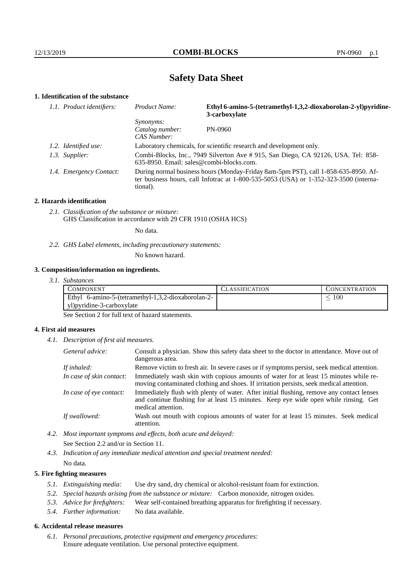# **Safety Data Sheet**

## **1. Identification of the substance**

| 1.1. Product identifiers: | Product Name:                                                                                                                                                                           | Ethyl 6-amino-5-(tetramethyl-1,3,2-dioxaborolan-2-yl)pyridine-<br>3-carboxylate |
|---------------------------|-----------------------------------------------------------------------------------------------------------------------------------------------------------------------------------------|---------------------------------------------------------------------------------|
|                           | <i>Synonyms:</i><br>Catalog number:<br>CAS Number:                                                                                                                                      | PN-0960                                                                         |
| 1.2. Identified use:      | Laboratory chemicals, for scientific research and development only.                                                                                                                     |                                                                                 |
| 1.3. Supplier:            | Combi-Blocks, Inc., 7949 Silverton Ave # 915, San Diego, CA 92126, USA. Tel: 858-<br>$635-8950$ . Email: sales@combi-blocks.com.                                                        |                                                                                 |
| 1.4. Emergency Contact:   | During normal business hours (Monday-Friday 8am-5pm PST), call 1-858-635-8950. Af-<br>ter business hours, call Infotrac at 1-800-535-5053 (USA) or 1-352-323-3500 (interna-<br>tional). |                                                                                 |

#### **2. Hazards identification**

*2.1. Classification of the substance or mixture:* GHS Classification in accordance with 29 CFR 1910 (OSHA HCS)

No data.

*2.2. GHS Label elements, including precautionary statements:*

No known hazard.

#### **3. Composition/information on ingredients.**

*3.1. Substances*

| COMPONENT                                          | CLASSIFICATION | <b>CONCENTRATION</b> |
|----------------------------------------------------|----------------|----------------------|
| Ethyl 6-amino-5-(tetramethyl-1,3,2-dioxaborolan-2- |                | 100                  |
| yl)pyridine-3-carboxylate                          |                |                      |

See Section 2 for full text of hazard statements.

### **4. First aid measures**

*4.1. Description of first aid measures.*

| General advice:          | Consult a physician. Show this safety data sheet to the doctor in attendance. Move out of<br>dangerous area.                                                                                            |
|--------------------------|---------------------------------------------------------------------------------------------------------------------------------------------------------------------------------------------------------|
| If inhaled:              | Remove victim to fresh air. In severe cases or if symptoms persist, seek medical attention.                                                                                                             |
| In case of skin contact: | Immediately wash skin with copious amounts of water for at least 15 minutes while re-<br>moving contaminated clothing and shoes. If irritation persists, seek medical attention.                        |
| In case of eye contact:  | Immediately flush with plenty of water. After initial flushing, remove any contact lenses<br>and continue flushing for at least 15 minutes. Keep eye wide open while rinsing. Get<br>medical attention. |
| If swallowed:            | Wash out mouth with copious amounts of water for at least 15 minutes. Seek medical<br>attention.                                                                                                        |

*4.2. Most important symptoms and effects, both acute and delayed:* See Section 2.2 and/or in Section 11.

*4.3. Indication of any immediate medical attention and special treatment needed:* No data.

### **5. Fire fighting measures**

- *5.1. Extinguishing media:* Use dry sand, dry chemical or alcohol-resistant foam for extinction.
- *5.2. Special hazards arising from the substance or mixture:* Carbon monoxide, nitrogen oxides.
- *5.3. Advice for firefighters:* Wear self-contained breathing apparatus for firefighting if necessary.
- *5.4. Further information:* No data available.

## **6. Accidental release measures**

*6.1. Personal precautions, protective equipment and emergency procedures:* Ensure adequate ventilation. Use personal protective equipment.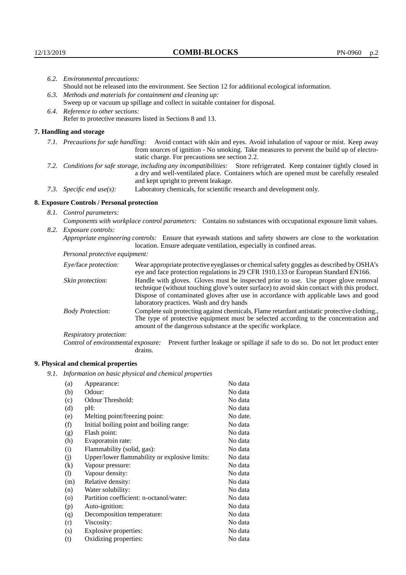| 6.2. Environmental precautions:                                                                                                                                                                                                                            |                                                                                                                                                                                                                                                                            |  |  |  |
|------------------------------------------------------------------------------------------------------------------------------------------------------------------------------------------------------------------------------------------------------------|----------------------------------------------------------------------------------------------------------------------------------------------------------------------------------------------------------------------------------------------------------------------------|--|--|--|
| Should not be released into the environment. See Section 12 for additional ecological information.                                                                                                                                                         |                                                                                                                                                                                                                                                                            |  |  |  |
| 6.3. Methods and materials for containment and cleaning up:                                                                                                                                                                                                |                                                                                                                                                                                                                                                                            |  |  |  |
| Sweep up or vacuum up spillage and collect in suitable container for disposal.                                                                                                                                                                             |                                                                                                                                                                                                                                                                            |  |  |  |
| 6.4. Reference to other sections:                                                                                                                                                                                                                          |                                                                                                                                                                                                                                                                            |  |  |  |
|                                                                                                                                                                                                                                                            | Refer to protective measures listed in Sections 8 and 13.                                                                                                                                                                                                                  |  |  |  |
| 7. Handling and storage                                                                                                                                                                                                                                    |                                                                                                                                                                                                                                                                            |  |  |  |
|                                                                                                                                                                                                                                                            | 7.1. Precautions for safe handling: Avoid contact with skin and eyes. Avoid inhalation of vapour or mist. Keep away<br>from sources of ignition - No smoking. Take measures to prevent the build up of electro-<br>static charge. For precautions see section 2.2.         |  |  |  |
| 7.2. Conditions for safe storage, including any incompatibilities: Store refrigerated. Keep container tightly closed in<br>a dry and well-ventilated place. Containers which are opened must be carefully resealed<br>and kept upright to prevent leakage. |                                                                                                                                                                                                                                                                            |  |  |  |
| 7.3. Specific end use(s):                                                                                                                                                                                                                                  | Laboratory chemicals, for scientific research and development only.                                                                                                                                                                                                        |  |  |  |
| 8. Exposure Controls / Personal protection                                                                                                                                                                                                                 |                                                                                                                                                                                                                                                                            |  |  |  |
| 8.1. Control parameters:                                                                                                                                                                                                                                   |                                                                                                                                                                                                                                                                            |  |  |  |
|                                                                                                                                                                                                                                                            | Components with workplace control parameters: Contains no substances with occupational exposure limit values.                                                                                                                                                              |  |  |  |
| 8.2. Exposure controls:                                                                                                                                                                                                                                    |                                                                                                                                                                                                                                                                            |  |  |  |
| Appropriate engineering controls: Ensure that eyewash stations and safety showers are close to the workstation<br>location. Ensure adequate ventilation, especially in confined areas.                                                                     |                                                                                                                                                                                                                                                                            |  |  |  |
| Personal protective equipment:                                                                                                                                                                                                                             |                                                                                                                                                                                                                                                                            |  |  |  |
| Eye/face protection:                                                                                                                                                                                                                                       | Wear appropriate protective eyeglasses or chemical safety goggles as described by OSHA's<br>eye and face protection regulations in 29 CFR 1910.133 or European Standard EN166.                                                                                             |  |  |  |
| Skin protection:                                                                                                                                                                                                                                           | Handle with gloves. Gloves must be inspected prior to use. Use proper glove removal<br>technique (without touching glove's outer surface) to avoid skin contact with this product.<br>Dispose of contaminated gloves after use in accordance with applicable laws and good |  |  |  |

| laboratory practices. Wash and dry hands | Complete suit protecting against chemicals, Flame retardant antistatic protective clothing.,<br>The type of protective equipment must be selected according to the concentration and<br>amount of the dangerous substance at the specific workplace. |
|------------------------------------------|------------------------------------------------------------------------------------------------------------------------------------------------------------------------------------------------------------------------------------------------------|

Respiratory protection:

Control of environmental exposure: Prevent further leakage or spillage if safe to do so. Do not let product enter drains.

# **9. Physical and chemical properties**

*9.1. Information on basic physical and chemical properties*

| (a)                        | Appearance:                                   | No data  |
|----------------------------|-----------------------------------------------|----------|
| (b)                        | Odour:                                        | No data  |
| (c)                        | Odour Threshold:                              | No data  |
| (d)                        | pH:                                           | No data  |
| (e)                        | Melting point/freezing point:                 | No date. |
| (f)                        | Initial boiling point and boiling range:      | No data  |
| (g)                        | Flash point:                                  | No data  |
| (h)                        | Evaporatoin rate:                             | No data  |
| (i)                        | Flammability (solid, gas):                    | No data  |
| (j)                        | Upper/lower flammability or explosive limits: | No data  |
| $\left( k\right)$          | Vapour pressure:                              | No data  |
| $\left( \mathrm{l}\right)$ | Vapour density:                               | No data  |
| (m)                        | Relative density:                             | No data  |
| (n)                        | Water solubility:                             | No data  |
| $\circ$                    | Partition coefficient: n-octanol/water:       | No data  |
| (p)                        | Auto-ignition:                                | No data  |
| (q)                        | Decomposition temperature:                    | No data  |
| (r)                        | Viscosity:                                    | No data  |
| (s)                        | Explosive properties:                         | No data  |
| (t)                        | Oxidizing properties:                         | No data  |